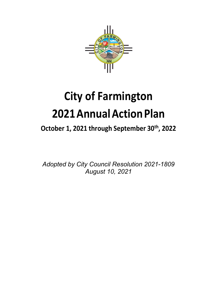

# **City of Farmington 2021AnnualActionPlan**

# October 1, 2021 through September 30<sup>th</sup>, 2022

*Adopted by City Council Resolution 2021-1809 August 10, 2021*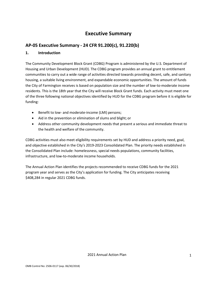# **Executive Summary**

## **AP-05 Executive Summary - 24 CFR 91.200(c), 91.220(b)**

## **1. Introduction**

The Community Development Block Grant (CDBG) Program is administered by the U.S. Department of Housing and Urban Development (HUD). The CDBG program provides an annual grant to entitlement communities to carry out a wide range of activities directed towards providing decent, safe, and sanitary housing, a suitable living environment, and expandable economic opportunities. The amount of funds the City of Farmington receives is based on population size and the number of low-to-moderate income residents. This is the 18th year that the City will receive Block Grant funds. Each activity must meet one of the three following national objectives identified by HUD for the CDBG program before it is eligible for funding:

- Benefit to low- and moderate-income (LMI) persons;
- Aid in the prevention or elimination of slums and blight; or
- Address other community development needs that present a serious and immediate threat to the health and welfare of the community.

CDBG activities must also meet eligibility requirements set by HUD and address a priority need, goal, and objective established in the City's 2019-2023 Consolidated Plan. The priority needs established in the Consolidated Plan include: homelessness, special needs populations, community facilities, infrastructure, and low-to-moderate income households.

The Annual Action Plan identifies the projects recommended to receive CDBG funds for the 2021 program year and serves as the City's application for funding. The City anticipates receiving \$408,284 in regular 2021 CDBG funds.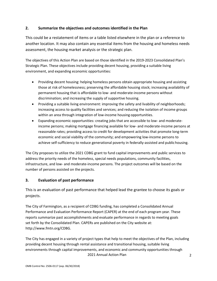## **2. Summarize the objectives and outcomes identified in the Plan**

This could be a restatement of items or a table listed elsewhere in the plan or a reference to another location. It may also contain any essential items from the housing and homeless needs assessment, the housing market analysis or the strategic plan.

The objectives of this Action Plan are based on those identified in the 2019-2023 Consolidated Plan's Strategic Plan. These objectives include providing decent housing, providing a suitable living environment, and expanding economic opportunities:

- Providing decent housing: helping homeless persons obtain appropriate housing and assisting those at risk of homelessness; preserving the affordable housing stock; increasing availability of permanent housing that is affordable to low- and moderate-income persons without discrimination; and increasing the supply of supportive housing.
- Providing a suitable living environment: improving the safety and livability of neighborhoods; increasing access to quality facilities and services; and reducing the isolation of income groups within an area through integration of low-income housing opportunities.
- Expanding economic opportunities: creating jobs that are accessible to low- and moderateincome persons; making mortgage financing available for low- and moderate-income persons at reasonable rates; providing access to credit for development activities that promote long-term economic and social viability of the community; and empowering low-income persons to achieve self-sufficiency to reduce generational poverty in federally-assisted and publichousing.

The City proposes to utilize the 2021 CDBG grant to fund capital improvements and public services to address the priority needs of the homeless, special needs populations, community facilities, infrastructure, and low- and moderate-income persons. The project outcomes will be based on the number of persons assisted on the projects.

## **3. Evaluation of past performance**

This is an evaluation of past performance that helped lead the grantee to choose its goals or projects.

The City of Farmington, as a recipient of CDBG funding, has completed a Consolidated Annual Performance and Evaluation Performance Report (CAPER) at the end of each program year. These reports summarize past accomplishments and evaluate performance in regards to meeting goals set forth by the Consolidated Plan. CAPERs are published on the City website at[:](http://www.fmtn.org/CDBG) [http://www.fmtn.org/CDBG.](http://www.fmtn.org/CDBG)

2021 Annual Action Plan The City has engaged in a variety of project types that help to meet the objectives of the Plan, including providing decent housing through rental assistance and transitional housing, suitable living environments through capital improvements, and economic and community opportunities through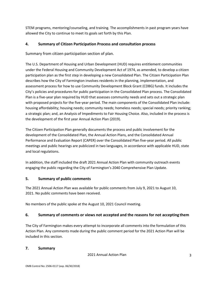STEM programs, mentoring/counseling, and training. The accomplishments in past program years have allowed the City to continue to meet its goals set forth by this Plan.

## **4. Summary of Citizen Participation Process and consultation process**

Summary from citizen participation section of plan.

The U.S. Department of Housing and Urban Development (HUD) requires entitlement communities under the Federal Housing and Community Development Act of 1974, as amended, to develop a citizen participation plan as the first step in developing a new Consolidated Plan. The Citizen Participation Plan describes how the City of Farmington involves residents in the planning, implementation, and assessment process for how to use Community Development Block Grant (CDBG) funds. It includes the City's policies and procedures for public participation in the Consolidated Plan process. The Consolidated Plan is a five-year plan required by HUD that assesses community needs and sets out a strategic plan with proposed projects for the five-year period. The main components of the Consolidated Plan include: housing affordability; housing needs; community needs; homeless needs; special needs; priority ranking; a strategic plan; and, an Analysis of Impediments to Fair Housing Choice. Also, included in the process is the development of the first year Annual Action Plan (2019).

The Citizen Participation Plan generally documents the process and public involvement for the development of the Consolidated Plan, the Annual Action Plans, and the Consolidated Annual Performance and Evaluation Report (CAPER) over the Consolidated Plan five-year period. All public meetings and public hearings are publicized in two languages, in accordance with applicable HUD, state and local regulations.

In addition, the staff included the draft 2021 Annual Action Plan with community outreach events engaging the public regarding the City of Farmington's 2040 Comprehensive Plan Update.

## **5. Summary of public comments**

The 2021 Annual Action Plan was available for public comments from July 9, 2021 to August 10, 2021. No public comments have been received.

No members of the public spoke at the August 10, 2021 Council meeting.

## **6. Summary of comments or views not accepted and the reasons for not accepting them**

The City of Farmington makes every attempt to incorporate all comments into the formulation of this Action Plan. Any comments made during the public comment period for the 2021 Action Plan will be included in this section.

### **7. Summary**

2021 Annual Action Plan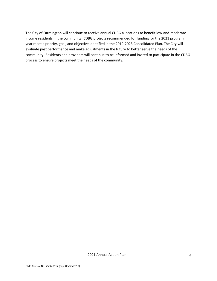The City of Farmington will continue to receive annual CDBG allocations to benefit low-and-moderate income residents in the community. CDBG projects recommended for funding for the 2021 program year meet a priority, goal, and objective identified in the 2019-2023 Consolidated Plan. The City will evaluate past performance and make adjustments in the future to better serve the needs of the community. Residents and providers will continue to be informed and invited to participate in the CDBG process to ensure projects meet the needs of the community.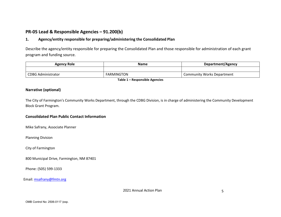## **PR-05 Lead & Responsible Agencies – 91.200(b)**

## **1. Agency/entity responsible for preparing/administering the Consolidated Plan**

Describe the agency/entity responsible for preparing the Consolidated Plan and those responsible for administration of each grant program and funding source.

| <b>Agency Role</b>        | <b>Name</b>       | Department/Agency                 |
|---------------------------|-------------------|-----------------------------------|
|                           |                   |                                   |
| <b>CDBG Administrator</b> | <b>FARMINGTON</b> | <b>Community Works Department</b> |

**Table 1 – Responsible Agencies**

## **Narrative (optional)**

The City of Farmington's Community Works Department, through the CDBG Division, is in charge of administering the Community Development Block Grant Program.

#### **Consolidated Plan Public Contact Information**

Mike Safrany, Associate Planner

Planning Division

City of Farmington

800 Municipal Drive, Farmington, NM 87401

Phone: (505) 599-1333

Email: [msafrany@fmtn.org](mailto:msafrany@fmtn.org)

2021 Annual Action Plan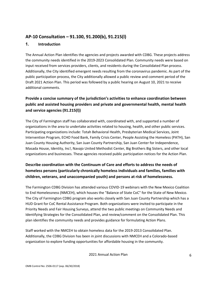## **AP-10 Consultation – 91.100, 91.200(b), 91.215(l)**

## **1. Introduction**

The Annual Action Plan identifies the agencies and projects awarded with CDBG. These projects address the community needs identified in the 2019-2023 Consolidated Plan. Community needs were based on input received from services providers, clients, and residents during the Consolidated Plan process. Additionally, the City identified emergent needs resulting from the coronavirus pandemic. As part of the public participation process, the City additionally allowed a public review and comment period of the Draft 2021 Action Plan. This period was followed by a public hearing on August 10, 2021 to receive additional comments.

## **Provide a concise summary of the jurisdiction's activities to enhance coordination between public and assisted housing providers and private and governmental health, mental health and service agencies (91.215(l))**

The City of Farmington staff has collaborated with, coordinated with, and supported a number of organizations in the area to undertake activities related to housing, health, and other public services. Participating organizations include: Totah Behavioral Health, Presbyterian Medical Services, Joint Intervention Program, ECHO Food Bank, Family Crisis Center, People Assisting the Homeless (PATH), San Juan County Housing Authority, San Juan County Partnership, San Juan Center for Independence, Masada House, Identity, Inc!, Navajo United Methodist Center, Big Brothers Big Sisters, and other local organizations and businesses. These agencies received public participation notices for the Action Plan.

## **Describe coordination with the Continuum of Care and efforts to address the needs of homeless persons (particularly chronically homeless individuals and families, families with children, veterans, and unaccompanied youth) and persons at risk of homelessness.**

The Farmington CDBG Division has attended various COVID-19 webinars with the New Mexico Coalition to End Homelessness (NMCEH), which houses the "Balance of State CoC" for the State of New Mexico. The City of Farmington CDBG program also works closely with San Juan County Partnership which has a HUD Grant for CoC Rental Assistance Program. Both organizations were invited to participate in the Priority Needs and Fair Housing Surveys, attend the two public meetings on Community Needs and Identifying Strategies for the Consolidated Plan, and review/comment on the Consolidated Plan. This plan identifies the community needs and provides guidance for formulating Action Plans.

Staff worked with the NMCEH to obtain homeless data for the 2019-2013 Consolidated Plan. Additionally, the CDBG Division has been in joint discussions with NMCEH and a Colorado-based organization to explore funding opportunities for affordable housing in the community.

2021 Annual Action Plan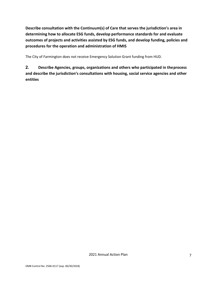**Describe consultation with the Continuum(s) of Care that serves the jurisdiction's area in determining how to allocate ESG funds, develop performance standards for and evaluate outcomes of projects and activities assisted by ESG funds, and develop funding, policies and procedures for the operation and administration of HMIS**

The City of Farmington does not receive Emergency Solution Grant funding from HUD.

**2. Describe Agencies, groups, organizations and others who participated in theprocess and describe the jurisdiction's consultations with housing, social service agencies and other entities**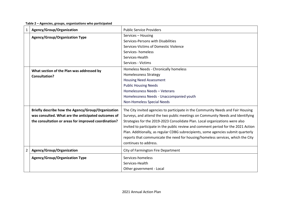**Table 2 – Agencies, groups, organizations who participated**

| Services - Housing<br><b>Agency/Group/Organization Type</b><br>Services-Persons with Disabilities<br>Services-Victims of Domestic Violence<br>Services-homeless<br>Services-Health<br>Services - Victims<br>Homeless Needs - Chronically homeless<br>What section of the Plan was addressed by<br><b>Homelessness Strategy</b><br><b>Consultation?</b><br><b>Housing Need Assessment</b><br><b>Public Housing Needs</b><br>Homelessness Needs - Veterans<br>Homelessness Needs - Unaccompanied youth<br>Non-Homeless Special Needs<br>Briefly describe how the Agency/Group/Organization<br>The City invited agencies to participate in the Community Needs and Fair Housing<br>was consulted. What are the anticipated outcomes of<br>Surveys, and attend the two public meetings on Community Needs and Identifying<br>the consultation or areas for improved coordination?<br>Strategies for the 2019-2023 Consolidate Plan. Local organizations were also<br>invited to participate in the public review and comment period for the 2021 Action<br>Plan. Additionally, as regular CDBG subrecipients, some agencies submit quarterly<br>reports that communicate the need for housing/homeless services, which the City<br>continues to address.<br>$\overline{2}$<br>Agency/Group/Organization<br><b>City of Farmington Fire Department</b><br><b>Agency/Group/Organization Type</b><br>Services-homeless<br>Services-Health | 1 | Agency/Group/Organization | <b>Public Service Providers</b> |
|-----------------------------------------------------------------------------------------------------------------------------------------------------------------------------------------------------------------------------------------------------------------------------------------------------------------------------------------------------------------------------------------------------------------------------------------------------------------------------------------------------------------------------------------------------------------------------------------------------------------------------------------------------------------------------------------------------------------------------------------------------------------------------------------------------------------------------------------------------------------------------------------------------------------------------------------------------------------------------------------------------------------------------------------------------------------------------------------------------------------------------------------------------------------------------------------------------------------------------------------------------------------------------------------------------------------------------------------------------------------------------------------------------------------------------------|---|---------------------------|---------------------------------|
|                                                                                                                                                                                                                                                                                                                                                                                                                                                                                                                                                                                                                                                                                                                                                                                                                                                                                                                                                                                                                                                                                                                                                                                                                                                                                                                                                                                                                                   |   |                           |                                 |
|                                                                                                                                                                                                                                                                                                                                                                                                                                                                                                                                                                                                                                                                                                                                                                                                                                                                                                                                                                                                                                                                                                                                                                                                                                                                                                                                                                                                                                   |   |                           |                                 |
|                                                                                                                                                                                                                                                                                                                                                                                                                                                                                                                                                                                                                                                                                                                                                                                                                                                                                                                                                                                                                                                                                                                                                                                                                                                                                                                                                                                                                                   |   |                           |                                 |
|                                                                                                                                                                                                                                                                                                                                                                                                                                                                                                                                                                                                                                                                                                                                                                                                                                                                                                                                                                                                                                                                                                                                                                                                                                                                                                                                                                                                                                   |   |                           |                                 |
|                                                                                                                                                                                                                                                                                                                                                                                                                                                                                                                                                                                                                                                                                                                                                                                                                                                                                                                                                                                                                                                                                                                                                                                                                                                                                                                                                                                                                                   |   |                           |                                 |
|                                                                                                                                                                                                                                                                                                                                                                                                                                                                                                                                                                                                                                                                                                                                                                                                                                                                                                                                                                                                                                                                                                                                                                                                                                                                                                                                                                                                                                   |   |                           |                                 |
|                                                                                                                                                                                                                                                                                                                                                                                                                                                                                                                                                                                                                                                                                                                                                                                                                                                                                                                                                                                                                                                                                                                                                                                                                                                                                                                                                                                                                                   |   |                           |                                 |
|                                                                                                                                                                                                                                                                                                                                                                                                                                                                                                                                                                                                                                                                                                                                                                                                                                                                                                                                                                                                                                                                                                                                                                                                                                                                                                                                                                                                                                   |   |                           |                                 |
|                                                                                                                                                                                                                                                                                                                                                                                                                                                                                                                                                                                                                                                                                                                                                                                                                                                                                                                                                                                                                                                                                                                                                                                                                                                                                                                                                                                                                                   |   |                           |                                 |
|                                                                                                                                                                                                                                                                                                                                                                                                                                                                                                                                                                                                                                                                                                                                                                                                                                                                                                                                                                                                                                                                                                                                                                                                                                                                                                                                                                                                                                   |   |                           |                                 |
|                                                                                                                                                                                                                                                                                                                                                                                                                                                                                                                                                                                                                                                                                                                                                                                                                                                                                                                                                                                                                                                                                                                                                                                                                                                                                                                                                                                                                                   |   |                           |                                 |
|                                                                                                                                                                                                                                                                                                                                                                                                                                                                                                                                                                                                                                                                                                                                                                                                                                                                                                                                                                                                                                                                                                                                                                                                                                                                                                                                                                                                                                   |   |                           |                                 |
|                                                                                                                                                                                                                                                                                                                                                                                                                                                                                                                                                                                                                                                                                                                                                                                                                                                                                                                                                                                                                                                                                                                                                                                                                                                                                                                                                                                                                                   |   |                           |                                 |
|                                                                                                                                                                                                                                                                                                                                                                                                                                                                                                                                                                                                                                                                                                                                                                                                                                                                                                                                                                                                                                                                                                                                                                                                                                                                                                                                                                                                                                   |   |                           |                                 |
|                                                                                                                                                                                                                                                                                                                                                                                                                                                                                                                                                                                                                                                                                                                                                                                                                                                                                                                                                                                                                                                                                                                                                                                                                                                                                                                                                                                                                                   |   |                           |                                 |
|                                                                                                                                                                                                                                                                                                                                                                                                                                                                                                                                                                                                                                                                                                                                                                                                                                                                                                                                                                                                                                                                                                                                                                                                                                                                                                                                                                                                                                   |   |                           |                                 |
|                                                                                                                                                                                                                                                                                                                                                                                                                                                                                                                                                                                                                                                                                                                                                                                                                                                                                                                                                                                                                                                                                                                                                                                                                                                                                                                                                                                                                                   |   |                           |                                 |
|                                                                                                                                                                                                                                                                                                                                                                                                                                                                                                                                                                                                                                                                                                                                                                                                                                                                                                                                                                                                                                                                                                                                                                                                                                                                                                                                                                                                                                   |   |                           |                                 |
|                                                                                                                                                                                                                                                                                                                                                                                                                                                                                                                                                                                                                                                                                                                                                                                                                                                                                                                                                                                                                                                                                                                                                                                                                                                                                                                                                                                                                                   |   |                           |                                 |
|                                                                                                                                                                                                                                                                                                                                                                                                                                                                                                                                                                                                                                                                                                                                                                                                                                                                                                                                                                                                                                                                                                                                                                                                                                                                                                                                                                                                                                   |   |                           |                                 |
|                                                                                                                                                                                                                                                                                                                                                                                                                                                                                                                                                                                                                                                                                                                                                                                                                                                                                                                                                                                                                                                                                                                                                                                                                                                                                                                                                                                                                                   |   |                           |                                 |
|                                                                                                                                                                                                                                                                                                                                                                                                                                                                                                                                                                                                                                                                                                                                                                                                                                                                                                                                                                                                                                                                                                                                                                                                                                                                                                                                                                                                                                   |   |                           |                                 |
|                                                                                                                                                                                                                                                                                                                                                                                                                                                                                                                                                                                                                                                                                                                                                                                                                                                                                                                                                                                                                                                                                                                                                                                                                                                                                                                                                                                                                                   |   |                           |                                 |
|                                                                                                                                                                                                                                                                                                                                                                                                                                                                                                                                                                                                                                                                                                                                                                                                                                                                                                                                                                                                                                                                                                                                                                                                                                                                                                                                                                                                                                   |   |                           | Other government - Local        |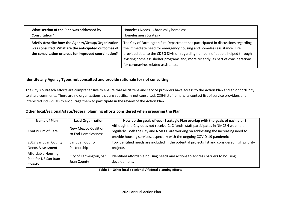| What section of the Plan was addressed by<br>Consultation?                                                                                                        | Homeless Needs - Chronically homeless<br><b>Homelessness Strategy</b>                                                                                                                                                                                                                                                                                                  |
|-------------------------------------------------------------------------------------------------------------------------------------------------------------------|------------------------------------------------------------------------------------------------------------------------------------------------------------------------------------------------------------------------------------------------------------------------------------------------------------------------------------------------------------------------|
| Briefly describe how the Agency/Group/Organization<br>was consulted. What are the anticipated outcomes of<br>the consultation or areas for improved coordination? | The City of Farmington Fire Department has participated in discussions regarding<br>the immediate need for emergency housing and homeless assistance. Fire<br>provided data to the CDBG Division regarding numbers of people helped through<br>existing homeless shelter programs and, more recently, as part of considerations<br>for coronavirus-related assistance. |

## **Identify any Agency Types not consulted and provide rationale for not consulting**

The City's outreach efforts are comprehensive to ensure that all citizens and service providers have access to the Action Plan and an opportunity to share comments. There are no organizations that are specifically not consulted. CDBG staff emails its contact list of service providers and interested individuals to encourage them to participate in the review of the Action Plan.

## **Other local/regional/state/federal planning efforts considered when preparing the Plan**

| Name of Plan            | <b>Lead Organization</b> | How do the goals of your Strategic Plan overlap with the goals of each plan?                  |  |  |  |  |
|-------------------------|--------------------------|-----------------------------------------------------------------------------------------------|--|--|--|--|
|                         | New Mexico Coalition     | Although the City does not receive CoC funds, staff participates in NMCEH webinars            |  |  |  |  |
| Continuum of Care       | to End Homelessness      | regularly. Both the City and NMCEH are working on addressing the increasing need to           |  |  |  |  |
|                         |                          | provide housing services, especially with the ongoing COVID-19 pandemic.                      |  |  |  |  |
| 2017 San Juan County    | San Juan County          | Top identified needs are included in the potential projects list and considered high priority |  |  |  |  |
| <b>Needs Assessment</b> | Partnership              | projects.                                                                                     |  |  |  |  |
| Affordable Housing      | City of Farmington, San  | Identified affordable housing needs and actions to address barriers to housing                |  |  |  |  |
| Plan for NE San Juan    |                          |                                                                                               |  |  |  |  |
| County                  | Juan County              | development.                                                                                  |  |  |  |  |

#### **Table 3 – Other local / regional / federal planning efforts**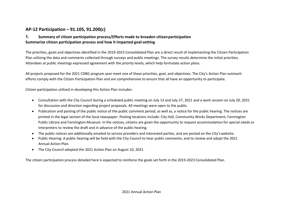## **AP-12 Participation – 91.105, 91.200(c)**

## **1. Summary of citizen participation process/Efforts made to broaden citizenparticipation Summarize citizen participation process and how it impacted goal-setting**

The priorities, goals and objectives identified in the 2019-2023 Consolidated Plan are a direct result of implementing the Citizen Participation Plan utilizing the data and comments collected through surveys and public meetings. The survey results determine the initial priorities. Attendees at public meetings expressed agreement with the priority levels, which help formulate action plans.

All projects proposed for the 2021 CDBG program year meet one of these priorities, goal, and objectives. The City's Action Plan outreach efforts comply with the Citizen Participation Plan and are comprehensive to ensure that all have an opportunity to participate.

Citizen participation utilized in developing this Action Plan includes:

- Consultation with the City Council during a scheduled public meeting on July 13 and July 27, 2021 and a work session on July 20, 2021 for discussion and direction regarding project proposals. All meetings were open to the public.
- Publication and posting of the public notice of the public comment period, as well as, a notice for the public hearing. The notices are printed in the legal section of the local newspaper. Posting locations include: City Hall, Community Works Department, Farmington Public Library and Farmington Museum. In the notices, citizens are given the opportunity to request accommodation forspecial needs or interpreters to review the draft and in advance of the public hearing.
- The public notices are additionally emailed to service providers and interested parties, and are posted on the City's website.
- Public Hearing: A public hearing will be held with the City Council to hear public comments, and to review and adopt the 2021 Annual Action Plan.
- The City Council adopted the 2021 Action Plan on August 10, 2021.

The citizen participation process detailed here is expected to reinforce the goals set forth in the 2019-2023 Consolidated Plan.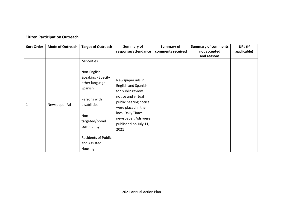## **Citizen Participation Outreach**

| <b>Sort Order</b> | <b>Mode of Outreach</b> | <b>Target of Outreach</b>         | Summary of            | Summary of        | <b>Summary of comments</b> | URL (If     |
|-------------------|-------------------------|-----------------------------------|-----------------------|-------------------|----------------------------|-------------|
|                   |                         |                                   | response/attendance   | comments received | not accepted               | applicable) |
|                   |                         |                                   |                       |                   | and reasons                |             |
|                   |                         | Minorities                        |                       |                   |                            |             |
|                   |                         | Non-English<br>Speaking - Specify |                       |                   |                            |             |
|                   |                         | other language:                   | Newspaper ads in      |                   |                            |             |
|                   |                         | Spanish                           | English and Spanish   |                   |                            |             |
|                   |                         |                                   | for public review     |                   |                            |             |
|                   |                         | Persons with                      | notice and virtual    |                   |                            |             |
| 1                 | Newspaper Ad            | disabilities                      | public hearing notice |                   |                            |             |
|                   |                         |                                   | were placed in the    |                   |                            |             |
|                   |                         | Non-                              | local Daily Times     |                   |                            |             |
|                   |                         | targeted/broad                    | newspaper. Ads were   |                   |                            |             |
|                   |                         | community                         | published on July 11, |                   |                            |             |
|                   |                         |                                   | 2021                  |                   |                            |             |
|                   |                         | <b>Residents of Public</b>        |                       |                   |                            |             |
|                   |                         | and Assisted                      |                       |                   |                            |             |
|                   |                         |                                   |                       |                   |                            |             |
|                   |                         | Housing                           |                       |                   |                            |             |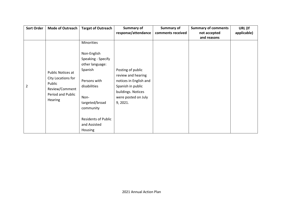| <b>Sort Order</b> | <b>Mode of Outreach</b>      | <b>Target of Outreach</b>  | Summary of             | Summary of        | <b>Summary of comments</b> | URL (If     |
|-------------------|------------------------------|----------------------------|------------------------|-------------------|----------------------------|-------------|
|                   |                              |                            | response/attendance    | comments received | not accepted               | applicable) |
|                   |                              |                            |                        |                   | and reasons                |             |
|                   |                              | Minorities                 |                        |                   |                            |             |
|                   |                              | Non-English                |                        |                   |                            |             |
|                   |                              | Speaking - Specify         |                        |                   |                            |             |
|                   |                              | other language:            |                        |                   |                            |             |
|                   |                              | Spanish                    | Posting of public      |                   |                            |             |
|                   | Public Notices at            |                            | review and hearing     |                   |                            |             |
|                   | City Locations for<br>Public | Persons with               | notices in English and |                   |                            |             |
| $\overline{2}$    | Review/Comment               | disabilities               | Spanish in public      |                   |                            |             |
|                   | Period and Public            |                            | buildings. Notices     |                   |                            |             |
|                   |                              | Non-                       | were posted on July    |                   |                            |             |
|                   | <b>Hearing</b>               | targeted/broad             | 9, 2021.               |                   |                            |             |
|                   |                              | community                  |                        |                   |                            |             |
|                   |                              |                            |                        |                   |                            |             |
|                   |                              | <b>Residents of Public</b> |                        |                   |                            |             |
|                   |                              | and Assisted               |                        |                   |                            |             |
|                   |                              | Housing                    |                        |                   |                            |             |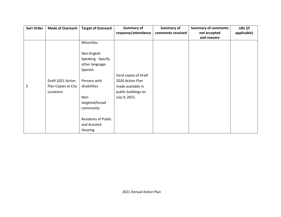| <b>Sort Order</b> | <b>Mode of Outreach</b> | <b>Target of Outreach</b>  | <b>Summary of</b>    | Summary of        | <b>Summary of comments</b> | URL (If     |
|-------------------|-------------------------|----------------------------|----------------------|-------------------|----------------------------|-------------|
|                   |                         |                            | response/attendance  | comments received | not accepted               | applicable) |
|                   |                         |                            |                      |                   | and reasons                |             |
|                   |                         | Minorities                 |                      |                   |                            |             |
|                   |                         |                            |                      |                   |                            |             |
|                   |                         | Non-English                |                      |                   |                            |             |
|                   |                         | Speaking - Specify         |                      |                   |                            |             |
|                   |                         | other language:            |                      |                   |                            |             |
|                   |                         | Spanish                    |                      |                   |                            |             |
|                   |                         |                            | Hard copies of Draft |                   |                            |             |
|                   | Draft 2021 Action       | Persons with               | 2020 Action Plan     |                   |                            |             |
| 3                 | Plan Copies at City     | disabilities               | made available in    |                   |                            |             |
|                   | Locations               |                            | public buildings on  |                   |                            |             |
|                   |                         | Non-                       | July 9, 2021.        |                   |                            |             |
|                   |                         | targeted/broad             |                      |                   |                            |             |
|                   |                         | community                  |                      |                   |                            |             |
|                   |                         |                            |                      |                   |                            |             |
|                   |                         | <b>Residents of Public</b> |                      |                   |                            |             |
|                   |                         | and Assisted               |                      |                   |                            |             |
|                   |                         | Housing                    |                      |                   |                            |             |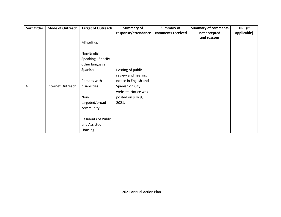| <b>Sort Order</b> | <b>Mode of Outreach</b> | <b>Target of Outreach</b>  | Summary of            | Summary of        | <b>Summary of comments</b> | URL (If     |
|-------------------|-------------------------|----------------------------|-----------------------|-------------------|----------------------------|-------------|
|                   |                         |                            | response/attendance   | comments received | not accepted               | applicable) |
|                   |                         |                            |                       |                   | and reasons                |             |
|                   |                         | Minorities                 |                       |                   |                            |             |
|                   |                         |                            |                       |                   |                            |             |
|                   |                         | Non-English                |                       |                   |                            |             |
|                   |                         | Speaking - Specify         |                       |                   |                            |             |
|                   |                         | other language:            |                       |                   |                            |             |
|                   |                         | Spanish                    | Posting of public     |                   |                            |             |
|                   |                         |                            | review and hearing    |                   |                            |             |
|                   |                         | Persons with               | notice in English and |                   |                            |             |
| 4                 | Internet Outreach       | disabilities               | Spanish on City       |                   |                            |             |
|                   |                         |                            | website. Notice was   |                   |                            |             |
|                   |                         | Non-                       | posted on July 9,     |                   |                            |             |
|                   |                         | targeted/broad             | 2021.                 |                   |                            |             |
|                   |                         | community                  |                       |                   |                            |             |
|                   |                         |                            |                       |                   |                            |             |
|                   |                         | <b>Residents of Public</b> |                       |                   |                            |             |
|                   |                         | and Assisted               |                       |                   |                            |             |
|                   |                         | Housing                    |                       |                   |                            |             |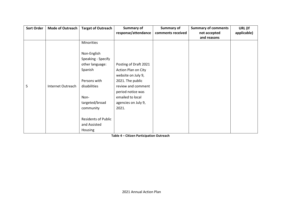| <b>Sort Order</b> | <b>Mode of Outreach</b> | <b>Target of Outreach</b>  | Summary of            | Summary of        | <b>Summary of comments</b> | URL (If     |
|-------------------|-------------------------|----------------------------|-----------------------|-------------------|----------------------------|-------------|
|                   |                         |                            | response/attendance   | comments received | not accepted               | applicable) |
|                   |                         |                            |                       |                   | and reasons                |             |
|                   |                         | Minorities                 |                       |                   |                            |             |
|                   |                         |                            |                       |                   |                            |             |
|                   |                         | Non-English                |                       |                   |                            |             |
|                   |                         | Speaking - Specify         |                       |                   |                            |             |
|                   |                         | other language:            | Posting of Draft 2021 |                   |                            |             |
|                   |                         | Spanish                    | Action Plan on City   |                   |                            |             |
|                   |                         |                            | website on July 9,    |                   |                            |             |
|                   |                         | Persons with               | 2021. The public      |                   |                            |             |
| 5                 | Internet Outreach       | disabilities               | review and comment    |                   |                            |             |
|                   |                         |                            | period notice was     |                   |                            |             |
|                   |                         | Non-                       | emailed to local      |                   |                            |             |
|                   |                         | targeted/broad             | agencies on July 9,   |                   |                            |             |
|                   |                         | community                  | 2021.                 |                   |                            |             |
|                   |                         |                            |                       |                   |                            |             |
|                   |                         | <b>Residents of Public</b> |                       |                   |                            |             |
|                   |                         | and Assisted               |                       |                   |                            |             |
|                   |                         | Housing                    |                       |                   |                            |             |

**Table 4 – Citizen Participation Outreach**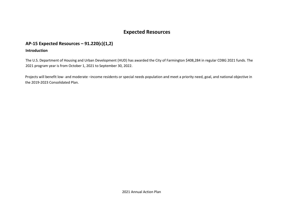# **Expected Resources**

## **AP-15 Expected Resources – 91.220(c)(1,2)**

## **Introduction**

The U.S. Department of Housing and Urban Development (HUD) has awarded the City of Farmington \$408,284 in regular CDBG 2021 funds. The 2021 program year is from October 1, 2021 to September 30, 2022.

 Projects will benefit low- and moderate –income residents or special needs population and meet a priority need, goal, and national objective in the 2019-2023 Consolidated Plan.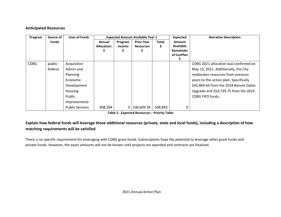## **Anticipated Resources**

| Program     | Source of    | <b>Uses of Funds</b>   |                    |         | <b>Expected Amount Available Year 1</b> |         | Expected         | <b>Narrative Description</b>            |
|-------------|--------------|------------------------|--------------------|---------|-----------------------------------------|---------|------------------|-----------------------------------------|
|             | <b>Funds</b> |                        | Annual             | Program | <b>Prior Year</b>                       | Total:  | <b>Amount</b>    |                                         |
|             |              |                        | <b>Allocation:</b> | Income: | <b>Resources:</b>                       |         | <b>Available</b> |                                         |
|             |              |                        |                    |         |                                         |         | Remainder        |                                         |
|             |              |                        |                    |         |                                         |         | of ConPlan       |                                         |
|             |              |                        |                    |         |                                         |         |                  |                                         |
| <b>CDBG</b> | public -     | Acquisition            |                    |         |                                         |         |                  | CDBG 2021 allocation was confirmed on   |
|             | federal      | Admin and              |                    |         |                                         |         |                  | May 13, 2021. Additionally, the City    |
|             |              | <b>Planning</b>        |                    |         |                                         |         |                  | reallocates resources from previous     |
|             |              | Economic               |                    |         |                                         |         |                  | years to this action plan. Specifically |
|             |              | Development            |                    |         |                                         |         |                  | \$45,869.64 from the 2018 Bonnie Dallas |
|             |              | <b>Housing</b>         |                    |         |                                         |         |                  | Upgrade and \$54,739.75 from the 2014   |
|             |              | Public                 |                    |         |                                         |         |                  | <b>CDBG FIFO funds.</b>                 |
|             |              | <b>Improvements</b>    |                    |         |                                         |         |                  |                                         |
|             |              | <b>Public Services</b> | 408,284            | 0 I     | 100,609.39                              | 508,893 | 0                |                                         |

**Table 5 - Expected Resources – Priority Table**

## **Explain how federal funds will leverage those additional resources (private, state and local funds), including a description of how matching requirements will be satisfied**

There is no specific requirement for leveraging with CDBG grant funds. Subrecipients have the potential to leverage other grant funds and private funds. However, the exact amounts will not be known until projects are awarded and contracts are finalized.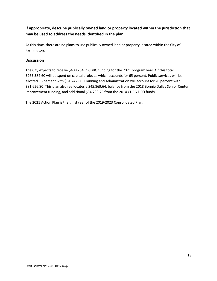## **If appropriate, describe publically owned land or property located within the jurisdiction that may be used to address the needs identified in the plan**

At this time, there are no plans to use publically owned land or property located within the City of Farmington.

## **Discussion**

The City expects to receive \$408,284 in CDBG funding for the 2021 program year. Of this total, \$265,384.60 will be spent on capital projects, which accounts for 65 percent. Public services will be allotted 15 percent with \$61,242.60. Planning and Administration will account for 20 percent with \$81,656.80. This plan also reallocates a \$45,869.64, balance from the 2018 Bonnie Dallas Senior Center Improvement funding, and additional \$54,739.75 from the 2014 CDBG FIFO funds.

The 2021 Action Plan is the third year of the 2019-2023 Consolidated Plan.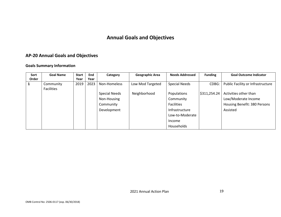# **Annual Goals and Objectives**

## **AP-20 Annual Goals and Objectives**

## **Goals Summary Information**

| Sort<br>Order | <b>Goal Name</b>               | <b>Start</b><br>Year | End<br>Year | Category             | <b>Geographic Area</b> | <b>Needs Addressed</b> | <b>Funding</b> | <b>Goal Outcome Indicator</b>     |
|---------------|--------------------------------|----------------------|-------------|----------------------|------------------------|------------------------|----------------|-----------------------------------|
|               | Community<br><b>Facilities</b> | 2019                 | 2023        | Non-Homeless         | Low Mod Targeted       | <b>Special Needs</b>   | CDBG:          | Public Facility or Infrastructure |
|               |                                |                      |             | <b>Special Needs</b> | Neighborhood           | Populations            | \$311,254.24   | Activities other than             |
|               |                                |                      |             | Non-Housing          |                        | Community              |                | Low/Moderate Income               |
|               |                                |                      |             | Community            |                        | <b>Facilities</b>      |                | Housing Benefit: 380 Persons      |
|               |                                |                      |             | Development          |                        | Infrastructure         |                | Assisted                          |
|               |                                |                      |             |                      |                        | Low-to-Moderate        |                |                                   |
|               |                                |                      |             |                      |                        | Income                 |                |                                   |
|               |                                |                      |             |                      |                        | Households             |                |                                   |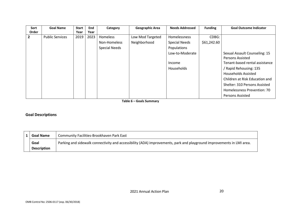| <b>Sort</b> | <b>Goal Name</b>       | <b>Start</b> | End  | Category             | <b>Geographic Area</b> | <b>Needs Addressed</b> | <b>Funding</b> | <b>Goal Outcome Indicator</b>  |
|-------------|------------------------|--------------|------|----------------------|------------------------|------------------------|----------------|--------------------------------|
| Order       |                        | Year         | Year |                      |                        |                        |                |                                |
| 2           | <b>Public Services</b> | 2019         | 2023 | Homeless             | Low Mod Targeted       | Homelessness           | CDBG:          |                                |
|             |                        |              |      | Non-Homeless         | Neighborhood           | <b>Special Needs</b>   | \$61,242.60    |                                |
|             |                        |              |      | <b>Special Needs</b> |                        | Populations            |                |                                |
|             |                        |              |      |                      |                        | Low-to-Moderate        |                | Sexual Assault Counseling: 15  |
|             |                        |              |      |                      |                        |                        |                | <b>Persons Assisted</b>        |
|             |                        |              |      |                      |                        | Income                 |                | Tenant-based rental assistance |
|             |                        |              |      |                      |                        | <b>Households</b>      |                | / Rapid Rehousing: 135         |
|             |                        |              |      |                      |                        |                        |                | <b>Households Assisted</b>     |
|             |                        |              |      |                      |                        |                        |                | Children at Risk Education and |
|             |                        |              |      |                      |                        |                        |                | Shelter: 310 Persons Assisted  |
|             |                        |              |      |                      |                        |                        |                | Homelessness Prevention: 70    |
|             |                        |              |      |                      |                        |                        |                | <b>Persons Assisted</b>        |

**Table 6 – Goals Summary**

## **Goal Descriptions**

| <b>Goal Name</b>   | Community Facilities-Brookhaven Park East                                                                             |
|--------------------|-----------------------------------------------------------------------------------------------------------------------|
| Goal               | Parking and sidewalk connectivity and accessibility (ADA) improvements, park and playground improvements in LMI area. |
| <b>Description</b> |                                                                                                                       |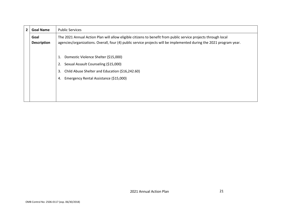| $\overline{2}$ | <b>Goal Name</b>           | <b>Public Services</b>                                                                                                                                                                                                                |
|----------------|----------------------------|---------------------------------------------------------------------------------------------------------------------------------------------------------------------------------------------------------------------------------------|
|                | Goal<br><b>Description</b> | The 2021 Annual Action Plan will allow eligible citizens to benefit from public service projects through local<br>agencies/organizations. Overall, four (4) public service projects will be implemented during the 2021 program year. |
|                |                            | Domestic Violence Shelter (\$15,000)<br>Sexual Assault Counseling (\$15,000)<br>2.<br>Child Abuse Shelter and Education (\$16,242.60)<br>3.<br>Emergency Rental Assistance (\$15,000)<br>4.                                           |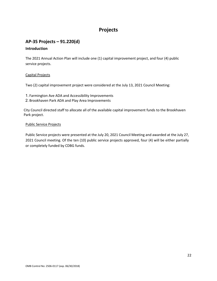## **Projects**

## **AP-35 Projects – 91.220(d)**

## **Introduction**

The 2021 Annual Action Plan will include one (1) capital improvement project, and four (4) public service projects.

### Capital Projects

Two (2) capital improvement project were considered at the July 13, 2021 Council Meeting:

- 1. Farmington Ave ADA and Accessibility Improvements
- 2. Brookhaven Park ADA and Play Area Improvements

City Council directed staff to allocate all of the available capital improvement funds to the Brookhaven Park project.

#### Public Service Projects

Public Service projects were presented at the July 20, 2021 Council Meeting and awarded at the July 27, 2021 Council meeting. Of the ten (10) public service projects approved, four (4) will be either partially or completely funded by CDBG funds.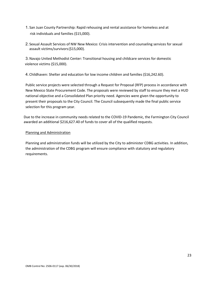- 1. San Juan County Partnership: Rapid rehousing and rental assistance for homeless and at risk individuals and families (\$15,000).
- 2. Sexual Assault Services of NW New Mexico: Crisis intervention and counseling services for sexual assault victims/survivors(\$15,000).

3.Navajo United Methodist Center: Transitional housing and childcare services for domestic violence victims (\$15,000).

4. Childhaven: Shelter and education for low income children and families (\$16,242.60).

Public service projects were selected through a Request for Proposal (RFP) process in accordance with New Mexico State Procurement Code. The proposals were reviewed by staff to ensure they met a HUD national objective and a Consolidated Plan priority need. Agencies were given the opportunity to present their proposals to the City Council. The Council subsequently made the final public service selection for this program year.

Due to the increase in community needs related to the COVID-19 Pandemic, the Farmington City Council awarded an additional \$216,627.40 of funds to cover all of the qualified requests.

### Planning and Administration

Planning and administration funds will be utilized by the City to administer CDBG activities. In addition, the administration of the CDBG program will ensure compliance with statutory and regulatory requirements.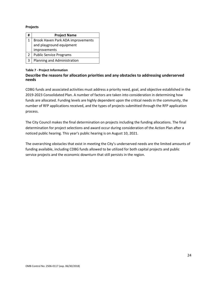#### **Projects**

| #              | <b>Project Name</b>               |
|----------------|-----------------------------------|
| 1              | Brook Haven Park ADA improvements |
|                | and playground equipment          |
|                | improvements                      |
| $\overline{2}$ | <b>Public Service Programs</b>    |
| 3              | Planning and Administration       |

#### **Table 7 - Project Information**

## **Describe the reasons for allocation priorities and any obstacles to addressing underserved needs**

CDBG funds and associated activities must address a priority need, goal, and objective established in the 2019-2023 Consolidated Plan. A number of factors are taken into consideration in determining how funds are allocated. Funding levels are highly dependent upon the critical needs in the community, the number of RFP applications received, and the types of projects submitted through the RFP application process.

The City Council makes the final determination on projects including the funding allocations. The final determination for project selections and award occur during consideration of the Action Plan after a noticed public hearing. This year's public hearing is on August 10, 2021.

The overarching obstacles that exist in meeting the City's underserved needs are the limited amounts of funding available, including CDBG funds allowed to be utilized for both capital projects and public service projects and the economic downturn that still persists in the region.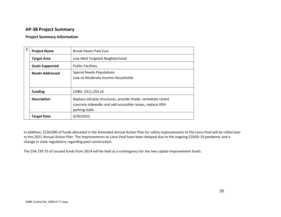## **AP-38 Project Summary**

#### **Project Summary Information**

| 1 | <b>Project Name</b>    | <b>Brook Haven Park East</b>                                                                                                               |
|---|------------------------|--------------------------------------------------------------------------------------------------------------------------------------------|
|   | <b>Target Area</b>     | Low Mod Targeted Neighborhood                                                                                                              |
|   | <b>Goals Supported</b> | <b>Public Facilities</b>                                                                                                                   |
|   | <b>Needs Addressed</b> | <b>Special Needs Populations</b><br>Low-to-Moderate Income Households                                                                      |
|   | <b>Funding</b>         | CDBG: \$311,254.24                                                                                                                         |
|   | <b>Description</b>     | Replace old play structures, provide shade, remediate raised<br>concrete sidewalks and add accessible ramps, replace ADA<br>parking stalls |
|   | <b>Target Date</b>     | 9/30/2022                                                                                                                                  |

In addition, \$150,000 of funds allocated in the Amended Annual Action Plan for safety improvements to the Lions Pool will be rolled over to the 2021 Annual Action Plan. The improvements to Lions Pool have been delayed due to the ongoing COVID-19 pandemic and a change in state regulations regarding pool construction.

The \$54,739.75 of unused funds from 2014 will be held as a contingency for the two capital improvement funds.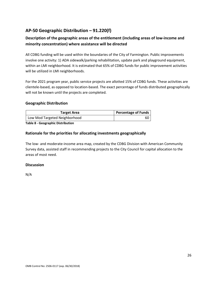## **AP-50 Geographic Distribution – 91.220(f)**

## **Description of the geographic areas of the entitlement (including areas of low-income and minority concentration) where assistance will be directed**

All CDBG funding will be used within the boundaries of the City of Farmington. Public improvements involve one activity: 1) ADA sidewalk/parking rehabilitation, update park and playground equipment, within an LMI neighborhood. It is estimated that 65% of CDBG funds for public improvement activities will be utilized in LMI neighborhoods.

For the 2021 program year, public service projects are allotted 15% of CDBG funds. These activities are clientele-based, as opposed to location-based. The exact percentage of funds distributed geographically will not be known until the projects are completed.

### **Geographic Distribution**

| <b>Percentage of Funds</b> |
|----------------------------|
| 60                         |
|                            |

**Table 8 - Geographic Distribution**

### **Rationale for the priorities for allocating investments geographically**

The low- and moderate-income area map, created by the CDBG Division with American Community Survey data, assisted staff in recommending projects to the City Council for capital allocation to the areas of most need.

### **Discussion**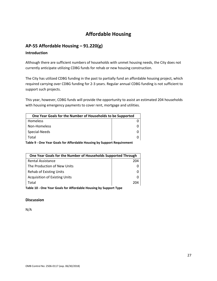# **Affordable Housing**

## **AP-55 Affordable Housing – 91.220(g)**

### **Introduction**

Although there are sufficient numbers of households with unmet housing needs, the City does not currently anticipate utilizing CDBG funds for rehab or new housing construction.

The City has utilized CDBG funding in the past to partially fund an affordable housing project, which required carrying over CDBG funding for 2-3 years. Regular annual CDBG funding is not sufficient to support such projects.

This year, however, CDBG funds will provide the opportunity to assist an estimated 204 households with housing emergency payments to cover rent, mortgage and utilities.

| One Year Goals for the Number of Households to be Supported |  |  |
|-------------------------------------------------------------|--|--|
| <b>Homeless</b>                                             |  |  |
| Non-Homeless                                                |  |  |
| Special-Needs                                               |  |  |
| Total                                                       |  |  |
|                                                             |  |  |

**Table 9 - One Year Goals for Affordable Housing by Support Requirement**

| One Year Goals for the Number of Households Supported Through |     |  |
|---------------------------------------------------------------|-----|--|
| <b>Rental Assistance</b>                                      | 204 |  |
| The Production of New Units                                   |     |  |
| Rehab of Existing Units                                       |     |  |
| <b>Acquisition of Existing Units</b>                          |     |  |
| Total                                                         | 204 |  |
| An a Maso Assis for Affandable Handler by America H.          |     |  |

**Table 10 - One Year Goals for Affordable Housing by Support Type**

### **Discussion**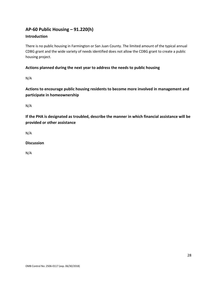## **AP-60 Public Housing** *–* **91.220(h)**

## **Introduction**

There is no public housing in Farmington or San Juan County. The limited amount of the typical annual CDBG grant and the wide variety of needs identified does not allow the CDBG grant to create a public housing project.

## **Actions planned during the next year to address the needs to public housing**

N/A

**Actions to encourage public housing residents to become more involved in management and participate in homeownership**

N/A

**If the PHA is designated as troubled, describe the manner in which financial assistance will be provided or other assistance**

N/A

### **Discussion**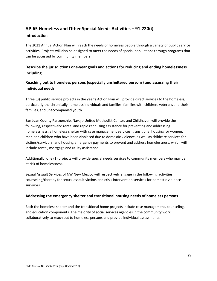## **AP-65 Homeless and Other Special Needs Activities – 91.220(i)**

#### **Introduction**

The 2021 Annual Action Plan will reach the needs of homeless people through a variety of public service activities. Projects will also be designed to meet the needs of special populations through programs that can be accessed by community members.

## **Describe the jurisdictions one-year goals and actions for reducing and ending homelessness including**

## **Reaching out to homeless persons (especially unsheltered persons) and assessing their individual needs**

Three (3) public service projects in the year's Action Plan will provide direct services to the homeless, particularly the chronically homeless individuals and families, families with children, veterans and their families, and unaccompanied youth.

San Juan County Partnership, Navajo United Methodist Center, and Childhaven will provide the following, respectively: rental and rapid rehousing assistance for preventing and addressing homelessness; a homeless shelter with case management services; transitional housing for women, men and children who have been displaced due to domestic violence, as well as childcare services for victims/survivors; and housing emergency payments to prevent and address homelessness, which will include rental, mortgage and utility assistance.

Additionally, one (1) projects will provide special needs services to community members who may be at risk of homelessness.

Sexual Assault Services of NW New Mexico will respectively engage in the following activities: counseling/therapy for sexual assault victims and crisis intervention services for domestic violence survivors.

### **Addressing the emergency shelter and transitional housing needs of homeless persons**

Both the homeless shelter and the transitional home projects include case management, counseling, and education components. The majority of social services agencies in the community work collaboratively to reach out to homeless persons and provide individual assessments.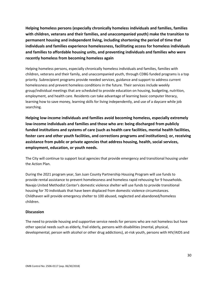**Helping homeless persons (especially chronically homeless individuals and families, families with children, veterans and their families, and unaccompanied youth) make the transition to permanent housing and independent living, including shortening the period of time that individuals and families experience homelessness, facilitating access for homeless individuals and families to affordable housing units, and preventing individuals and families who were recently homeless from becoming homeless again**

Helping homeless persons, especially chronically homeless individuals and families, families with children, veterans and their family, and unaccompanied youth, through CDBG funded programs is a top priority. Subrecipient programs provide needed services, guidance and support to address current homelessness and prevent homeless conditions in the future. Their services include weekly group/individual meetings that are scheduled to provide education on housing, budgeting, nutrition, employment, and health care. Residents can take advantage of learning basic computer literacy, learning how to save money, learning skills for living independently, and use of a daycare while job searching.

**Helping low-income individuals and families avoid becoming homeless, especially extremely low-income individuals and families and those who are: being discharged from publicly funded institutions and systems of care (such as health care facilities, mental health facilities, foster care and other youth facilities, and corrections programs and institutions); or, receiving assistance from public or private agencies that address housing, health, social services, employment, education, or youth needs.**

The City will continue to support local agencies that provide emergency and transitional housing under the Action Plan.

During the 2021 program year, San Juan County Partnership Housing Program will use funds to provide rental assistance to prevent homelessness and homeless rapid rehousing for 9 households. Navajo United Methodist Center's domestic violence shelter will use funds to provide transitional housing for 70 individuals that have been displaced from domestic violence circumstances. Childhaven will provide emergency shelter to 100 abused, neglected and abandoned/homeless children.

### **Discussion**

The need to provide housing and supportive service needs for persons who are not homeless but have other special needs such as elderly, frail elderly, persons with disabilities (mental, physical, developmental, person with alcohol or other drug addictions), at-risk youth, persons with HIV/AIDS and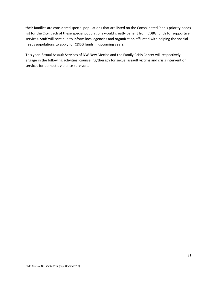their families are considered special populations that are listed on the Consolidated Plan's priority needs list for the City. Each of these special populations would greatly benefit from CDBG funds for supportive services. Staff will continue to inform local agencies and organization affiliated with helping the special needs populations to apply for CDBG funds in upcoming years.

This year, Sexual Assault Services of NW New Mexico and the Family Crisis Center will respectively engage in the following activities: counseling/therapy for sexual assault victims and crisis intervention services for domestic violence survivors.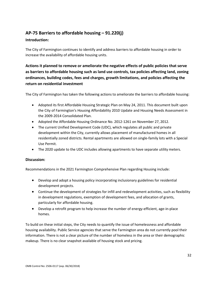## **AP-75 Barriers to affordable housing – 91.220(j)**

## **Introduction:**

The City of Farmington continues to identify and address barriers to affordable housing in order to increase the availability of affordable housing units.

## **Actions it planned to remove or ameliorate the negative effects of public policies that serve as barriers to affordable housing such as land use controls, tax policies affecting land, zoning ordinances, building codes, fees and charges, growth limitations, and policies affecting the return on residential investment**

The City of Farmington has taken the following actions to ameliorate the barriers to affordable housing:

- Adopted its first Affordable Housing Strategic Plan on May 24, 2011. This document built upon the City of Farmington's Housing Affordability 2010 Update and Housing Needs Assessment in the 2009-2014 Consolidated Plan.
- Adopted the Affordable Housing Ordinance No. 2012-1261 on November 27, 2012.
- The current Unified Development Code (UDC), which regulates all public and private development within the City, currently allows placement of manufactured homes in all residentially zoned districts. Rental apartments are allowed on single-family lots with a Special Use Permit.
- The 2020 update to the UDC includes allowing apartments to have separate utility meters.

### **Discussion:**

Recommendations in the 2021 Farmington Comprehensive Plan regarding Housing include:

- Develop and adopt a housing policy incorporating inclusionary guidelines for residential development projects.
- Continue the development of strategies for infill and redevelopment activities, such as flexibility in development regulations, exemption of development fees, and allocation of grants, particularly for affordable housing.
- Develop a retrofit program to help increase the number of energy-efficient, age-in-place homes.

To build on these initial steps, the City needs to quantify the issue of homelessness and affordable housing availability. Public Service agencies that serve the Farmington area do not currently pool their information. There is not a clear picture of the number of homeless in the area or their demographic makeup. There is no clear snapshot available of housing stock and pricing.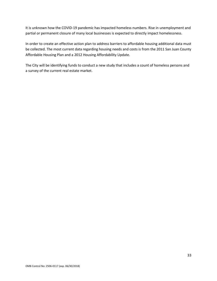It is unknown how the COVID-19 pandemic has impacted homeless numbers. Rise in unemployment and partial or permanent closure of many local businesses is expected to directly impact homelessness.

In order to create an effective action plan to address barriers to affordable housing additional data must be collected. The most current data regarding housing needs and costs is from the 2011 San Juan County Affordable Housing Plan and a 2012 Housing Affordability Update.

The City will be identifying funds to conduct a new study that includes a count of homeless persons and a survey of the current real estate market.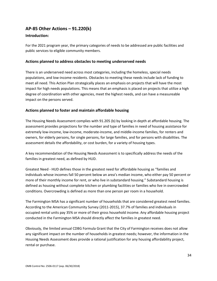## **AP-85 Other Actions – 91.220(k)**

#### **Introduction:**

For the 2021 program year, the primary categories of needs to be addressed are public facilities and public services to eligible community members.

#### **Actions planned to address obstacles to meeting underserved needs**

There is an underserved need across most categories, including the homeless, special needs populations, and low-income residents. Obstacles to meeting these needs include lack of funding to meet all need. This Action Plan strategically places an emphasis on projects that will have the most impact for high needs populations. This means that an emphasis is placed on projects that utilize a high degree of coordination with other agencies, meet the highest needs, and can have a measureable impact on the persons served.

### **Actions planned to foster and maintain affordable housing**

The Housing Needs Assessment complies with 91.205 (b) by looking in depth at affordable housing. The assessment provides projections for the number and type of families in need of housing assistance for extremely low-income, low-income, moderate-income, and middle-income families, for renters and owners, for elderly persons, for single persons, for large families, and for persons with disabilities. The assessment details the affordability, or cost burden, for a variety of housing types.

A key recommendation of the Housing Needs Assessment is to specifically address the needs of the families in greatest need, as defined by HUD.

Greatest Need - HUD defines those in the greatest need for affordable housing as "families and individuals whose incomes fall 50 percent below an area's median income, who either pay 50 percent or more of their monthly income for rent, or who live in substandard housing." Substandard housing is defined as housing without complete kitchen or plumbing facilities or families who live in overcrowded conditions. Overcrowding is defined as more than one person per room in a household.

The Farmington MSA has a significant number of households that are considered greatest need families. According to the American Community Survey (2011-2015), 37.7% of families and individuals in occupied rental units pay 35% or more of their gross household income. Any affordable housing project conducted in the Farmington MSA should directly affect the families in greatest need.

Obviously, the limited annual CDBG Formula Grant that the City of Farmington receives does not allow any significant impact on the number of households in greatest needs; however, the information in the Housing Needs Assessment does provide a rational justification for any housing affordability project, rental or purchase.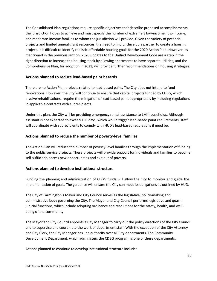The Consolidated Plan regulations require specific objectives that describe proposed accomplishments the jurisdiction hopes to achieve and must specify the number of extremely low-income, low-income, and moderate-income families to whom the jurisdiction will provide. Given the variety of potential projects and limited annual grant resources, the need to find or develop a partner to create a housing project, it is difficult to identify realistic affordable housing goals for the 2020 Action Plan. However, as mentioned in the previous section, 2020 updates to the Unified Development Code are a step in the right direction to increase the housing stock by allowing apartments to have separate utilities, and the Comprehensive Plan, for adoption in 2021, will provide further recommendations on housing strategies.

#### **Actions planned to reduce lead-based paint hazards**

There are no Action Plan projects related to lead-based paint. The City does not intend to fund renovations. However, the City will continue to ensure that capital projects funded by CDBG, which involve rehabilitations, require the mitigation of lead-based paint appropriately by including regulations in applicable contracts with subrecipients.

Under this plan, the City will be providing emergency rental assistance to LMI households. Although assistant is not expected to exceed 100 days, which would trigger lead-based paint requirements, staff will coordinate with subrecipients to comply with HUD's lead-based regulations if need be.

#### **Actions planned to reduce the number of poverty-level families**

The Action Plan will reduce the number of poverty-level families through the implementation of funding to the public service projects. These projects will provide support for individuals and families to become self-sufficient, access new opportunities and exit out of poverty.

### **Actions planned to develop institutional structure**

Funding the planning and administration of CDBG funds will allow the City to monitor and guide the implementation of goals. The guidance will ensure the City can meet its obligations as outlined by HUD.

The City of Farmington's Mayor and City Council serves as the legislative, policy-making and administrative body governing the City. The Mayor and City Council performs legislative and quasijudicial functions, which include adopting ordinance and resolutions for the safety, health, and wellbeing of the community.

The Mayor and City Council appoints a City Manager to carry out the policy directions of the City Council and to supervise and coordinate the work of department staff. With the exception of the City Attorney and City Clerk, the City Manager has line authority over all City departments. The Community Development Department, which administers the CDBG program, is one of these departments.

Actions planned to continue to develop institutional structure include: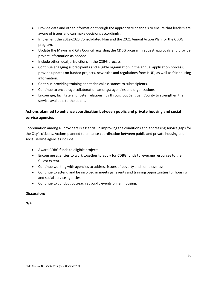- Provide data and other information through the appropriate channels to ensure that leaders are aware of issues and can make decisions accordingly.
- Implement the 2019-2023 Consolidated Plan and the 2021 Annual Action Plan for the CDBG program.
- Update the Mayor and City Council regarding the CDBG program, request approvals and provide project information as needed.
- Include other local jurisdictions in the CDBG process.
- Continue engaging subrecipients and eligible organization in the annual application process; provide updates on funded projects, new rules and regulations from HUD, as well as fair housing information.
- Continue providing training and technical assistance to subrecipients.
- Continue to encourage collaboration amongst agencies and organizations.
- Encourage, facilitate and foster relationships throughout San Juan County to strengthen the service available to the public.

## **Actions planned to enhance coordination between public and private housing and social service agencies**

Coordination among all providers is essential in improving the conditions and addressing service gaps for the City's citizens. Actions planned to enhance coordination between public and private housing and social service agencies include:

- Award CDBG funds to eligible projects.
- Encourage agencies to work together to apply for CDBG funds to leverage resources to the fullest extent.
- Continue working with agencies to address issues of poverty and homelessness.
- Continue to attend and be involved in meetings, events and training opportunities for housing and social service agencies.
- Continue to conduct outreach at public events on fair housing.

### **Discussion:**